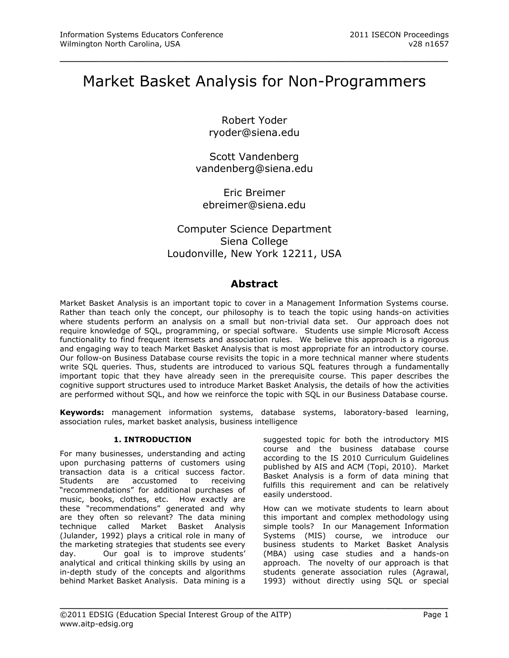# Market Basket Analysis for Non-Programmers

\_\_\_\_\_\_\_\_\_\_\_\_\_\_\_\_\_\_\_\_\_\_\_\_\_\_\_\_\_\_\_\_\_\_\_\_\_\_\_\_\_\_\_\_\_\_\_\_\_

Robert Yoder [ryoder@siena.edu](mailto:ryoder@siena.edu)

Scott Vandenberg [vandenberg@siena.edu](mailto:vandenberg@siena.edu)

Eric Breimer [ebreimer@siena.edu](mailto:ebreimer@siena.edu)

# Computer Science Department Siena College Loudonville, New York 12211, USA

# **Abstract**

Market Basket Analysis is an important topic to cover in a Management Information Systems course. Rather than teach only the concept, our philosophy is to teach the topic using hands-on activities where students perform an analysis on a small but non-trivial data set. Our approach does not require knowledge of SQL, programming, or special software. Students use simple Microsoft Access functionality to find frequent itemsets and association rules. We believe this approach is a rigorous and engaging way to teach Market Basket Analysis that is most appropriate for an introductory course. Our follow-on Business Database course revisits the topic in a more technical manner where students write SQL queries. Thus, students are introduced to various SQL features through a fundamentally important topic that they have already seen in the prerequisite course. This paper describes the cognitive support structures used to introduce Market Basket Analysis, the details of how the activities are performed without SQL, and how we reinforce the topic with SQL in our Business Database course.

**Keywords:** management information systems, database systems, laboratory-based learning, association rules, market basket analysis, business intelligence

\_\_\_\_\_\_\_\_\_\_\_\_\_\_\_\_\_\_\_\_\_\_\_\_\_\_\_\_\_\_\_\_\_\_\_\_\_\_\_\_\_\_\_\_\_\_\_\_\_

# **1. INTRODUCTION**

For many businesses, understanding and acting upon purchasing patterns of customers using transaction data is a critical success factor. Students are accustomed to receiving "recommendations" for additional purchases of music, books, clothes, etc. How exactly are these "recommendations" generated and why are they often so relevant? The data mining technique called Market Basket Analysis (Julander, 1992) plays a critical role in many of the marketing strategies that students see every day. Our goal is to improve students' analytical and critical thinking skills by using an in-depth study of the concepts and algorithms behind Market Basket Analysis. Data mining is a

suggested topic for both the introductory MIS course and the business database course according to the IS 2010 Curriculum Guidelines published by AIS and ACM (Topi, 2010). Market Basket Analysis is a form of data mining that fulfills this requirement and can be relatively easily understood.

How can we motivate students to learn about this important and complex methodology using simple tools? In our Management Information Systems (MIS) course, we introduce our business students to Market Basket Analysis (MBA) using case studies and a hands-on approach. The novelty of our approach is that students generate association rules (Agrawal, 1993) without directly using SQL or special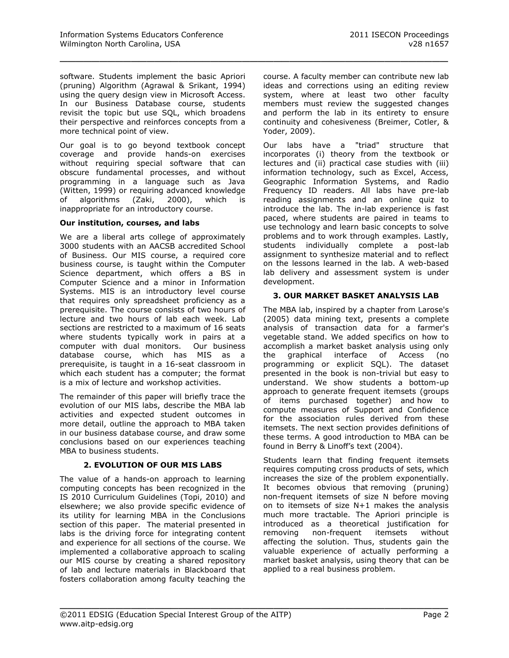software. Students implement the basic Apriori (pruning) Algorithm (Agrawal & Srikant, 1994) using the query design view in Microsoft Access. In our Business Database course, students revisit the topic but use SQL, which broadens their perspective and reinforces concepts from a more technical point of view.

\_\_\_\_\_\_\_\_\_\_\_\_\_\_\_\_\_\_\_\_\_\_\_\_\_\_\_\_\_\_\_\_\_\_\_\_\_\_\_\_\_\_\_\_\_\_\_\_\_

Our goal is to go beyond textbook concept coverage and provide hands-on exercises without requiring special software that can obscure fundamental processes, and without programming in a language such as Java (Witten, 1999) or requiring advanced knowledge of algorithms (Zaki, 2000), which is inappropriate for an introductory course.

#### **Our institution, courses, and labs**

We are a liberal arts college of approximately 3000 students with an AACSB accredited School of Business. Our MIS course, a required core business course, is taught within the Computer Science department, which offers a BS in Computer Science and a minor in Information Systems. MIS is an introductory level course that requires only spreadsheet proficiency as a prerequisite. The course consists of two hours of lecture and two hours of lab each week. Lab sections are restricted to a maximum of 16 seats where students typically work in pairs at a computer with dual monitors. Our business database course, which has MIS as a prerequisite, is taught in a 16-seat classroom in which each student has a computer; the format is a mix of lecture and workshop activities.

The remainder of this paper will briefly trace the evolution of our MIS labs, describe the MBA lab activities and expected student outcomes in more detail, outline the approach to MBA taken in our business database course, and draw some conclusions based on our experiences teaching MBA to business students.

#### **2. EVOLUTION OF OUR MIS LABS**

The value of a hands-on approach to learning computing concepts has been recognized in the IS 2010 Curriculum Guidelines (Topi, 2010) and elsewhere; we also provide specific evidence of its utility for learning MBA in the Conclusions section of this paper. The material presented in labs is the driving force for integrating content and experience for all sections of the course. We implemented a collaborative approach to scaling our MIS course by creating a shared repository of lab and lecture materials in Blackboard that fosters collaboration among faculty teaching the

course. A faculty member can contribute new lab ideas and corrections using an editing review system, where at least two other faculty members must review the suggested changes and perform the lab in its entirety to ensure continuity and cohesiveness (Breimer, Cotler, & Yoder, 2009).

Our labs have a "triad" structure that incorporates (i) theory from the textbook or lectures and (ii) practical case studies with (iii) information technology, such as Excel, Access, Geographic Information Systems, and Radio Frequency ID readers. All labs have pre-lab reading assignments and an online quiz to introduce the lab. The in-lab experience is fast paced, where students are paired in teams to use technology and learn basic concepts to solve problems and to work through examples. Lastly, students individually complete a post-lab assignment to synthesize material and to reflect on the lessons learned in the lab. A web-based lab delivery and assessment system is under development.

#### **3. OUR MARKET BASKET ANALYSIS LAB**

The MBA lab, inspired by a chapter from Larose's (2005) data mining text, presents a complete analysis of transaction data for a farmer's vegetable stand. We added specifics on how to accomplish a market basket analysis using only the graphical interface of Access (no programming or explicit SQL). The dataset presented in the book is non-trivial but easy to understand. We show students a bottom-up approach to generate frequent itemsets (groups of items purchased together) and how to compute measures of Support and Confidence for the association rules derived from these itemsets. The next section provides definitions of these terms. A good introduction to MBA can be found in Berry & Linoff's text (2004).

Students learn that finding frequent itemsets requires computing cross products of sets, which increases the size of the problem exponentially. It becomes obvious that removing (pruning) non-frequent itemsets of size N before moving on to itemsets of size N+1 makes the analysis much more tractable. The Apriori principle is introduced as a theoretical justification for removing non-frequent itemsets without affecting the solution. Thus, students gain the valuable experience of actually performing a market basket analysis, using theory that can be applied to a real business problem.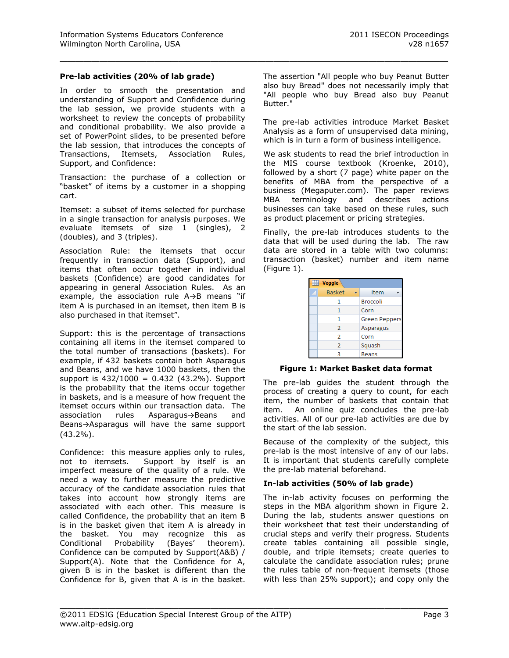#### **Pre-lab activities (20% of lab grade)**

In order to smooth the presentation and understanding of Support and Confidence during the lab session, we provide students with a worksheet to review the concepts of probability and conditional probability. We also provide a set of PowerPoint slides, to be presented before the lab session, that introduces the concepts of Transactions, Itemsets, Association Rules, Support, and Confidence:

Transaction: the purchase of a collection or "basket" of items by a customer in a shopping cart.

Itemset: a subset of items selected for purchase in a single transaction for analysis purposes. We evaluate itemsets of size 1 (singles), 2 (doubles), and 3 (triples).

Association Rule: the itemsets that occur frequently in transaction data (Support), and items that often occur together in individual baskets (Confidence) are good candidates for appearing in general Association Rules. As an example, the association rule A→B means "if item A is purchased in an itemset, then item B is also purchased in that itemset".

Support: this is the percentage of transactions containing all items in the itemset compared to the total number of transactions (baskets). For example, if 432 baskets contain both Asparagus and Beans, and we have 1000 baskets, then the support is  $432/1000 = 0.432$  (43.2%). Support is the probability that the items occur together in baskets, and is a measure of how frequent the itemset occurs within our transaction data. The association rules Asparagus→Beans and Beans→Asparagus will have the same support (43.2%).

Confidence: this measure applies only to rules, not to itemsets. Support by itself is an imperfect measure of the quality of a rule. We need a way to further measure the predictive accuracy of the candidate association rules that takes into account how strongly items are associated with each other. This measure is called Confidence, the probability that an item B is in the basket given that item A is already in the basket. You may recognize this as Conditional Probability (Bayes' theorem). Confidence can be computed by Support(A&B) / Support(A). Note that the Confidence for A, given B is in the basket is different than the Confidence for B, given that A is in the basket. The assertion "All people who buy Peanut Butter also buy Bread" does not necessarily imply that "All people who buy Bread also buy Peanut Butter."

\_\_\_\_\_\_\_\_\_\_\_\_\_\_\_\_\_\_\_\_\_\_\_\_\_\_\_\_\_\_\_\_\_\_\_\_\_\_\_\_\_\_\_\_\_\_\_\_\_

The pre-lab activities introduce Market Basket Analysis as a form of unsupervised data mining, which is in turn a form of business intelligence.

We ask students to read the brief introduction in the MIS course textbook (Kroenke, 2010), followed by a short (7 page) white paper on the benefits of MBA from the perspective of a business (Megaputer.com). The paper reviews MBA terminology and describes actions businesses can take based on these rules, such as product placement or pricing strategies.

Finally, the pre-lab introduces students to the data that will be used during the lab. The raw data are stored in a table with two columns: transaction (basket) number and item name (Figure 1).

| m | <b>Veggie</b>  |                 |
|---|----------------|-----------------|
|   | <b>Basket</b>  | Item            |
|   | 1              | <b>Broccoli</b> |
|   | 1              | Corn            |
|   | 1              | Green Peppers   |
|   | $\overline{2}$ | Asparagus       |
|   | 2              | Corn            |
|   | 2              | Squash          |
|   | R              | <b>Beans</b>    |

**Figure 1: Market Basket data format**

The pre-lab guides the student through the process of creating a query to count, for each item, the number of baskets that contain that item. An online quiz concludes the pre-lab activities. All of our pre-lab activities are due by the start of the lab session.

Because of the complexity of the subject, this pre-lab is the most intensive of any of our labs. It is important that students carefully complete the pre-lab material beforehand.

# **In-lab activities (50% of lab grade)**

The in-lab activity focuses on performing the steps in the MBA algorithm shown in Figure 2. During the lab, students answer questions on their worksheet that test their understanding of crucial steps and verify their progress. Students create tables containing all possible single, double, and triple itemsets; create queries to calculate the candidate association rules; prune the rules table of non-frequent itemsets (those with less than 25% support); and copy only the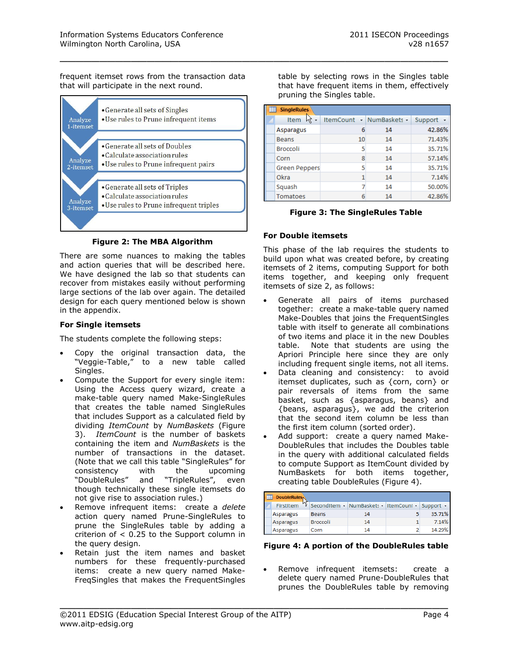frequent itemset rows from the transaction data that will participate in the next round.



#### **Figure 2: The MBA Algorithm**

There are some nuances to making the tables and action queries that will be described here. We have designed the lab so that students can recover from mistakes easily without performing large sections of the lab over again. The detailed design for each query mentioned below is shown in the appendix.

### **For Single itemsets**

The students complete the following steps:

- Copy the original transaction data, the "Veggie-Table," to a new table called Singles.
- Compute the Support for every single item: Using the Access query wizard, create a make-table query named Make-SingleRules that creates the table named SingleRules that includes Support as a calculated field by dividing *ItemCount* by *NumBaskets* (Figure 3). *ItemCount* is the number of baskets containing the item and *NumBaskets* is the number of transactions in the dataset. (Note that we call this table "SingleRules" for consistency with the upcoming "DoubleRules" and "TripleRules", even though technically these single itemsets do not give rise to association rules.)
- Remove infrequent items: create a *delete* action query named Prune-SingleRules to prune the SingleRules table by adding a criterion of < 0.25 to the Support column in the query design.
- Retain just the item names and basket numbers for these frequently-purchased items: create a new query named Make-FreqSingles that makes the FrequentSingles

table by selecting rows in the Singles table that have frequent items in them, effectively pruning the Singles table.

| 釀 | <b>SingleRules</b>   |    |                          |           |
|---|----------------------|----|--------------------------|-----------|
|   | Item<br>ド            |    | ItemCount - NumBaskets - | Support + |
|   | Asparagus            | 6  | 14                       | 42.86%    |
|   | <b>Beans</b>         | 10 | 14                       | 71.43%    |
|   | <b>Broccoli</b>      | 5  | 14                       | 35.71%    |
|   | Corn                 | 8  | 14                       | 57.14%    |
|   | <b>Green Peppers</b> |    | 14                       | 35.71%    |
|   | Okra                 |    | 14                       | 7.14%     |
|   | Squash               |    | 14                       | 50.00%    |
|   | Tomatoes             |    | 14                       | 42.86%    |

# **Figure 3: The SingleRules Table**

# **For Double itemsets**

\_\_\_\_\_\_\_\_\_\_\_\_\_\_\_\_\_\_\_\_\_\_\_\_\_\_\_\_\_\_\_\_\_\_\_\_\_\_\_\_\_\_\_\_\_\_\_\_\_

This phase of the lab requires the students to build upon what was created before, by creating itemsets of 2 items, computing Support for both items together, and keeping only frequent itemsets of size 2, as follows:

- Generate all pairs of items purchased together: create a make-table query named Make-Doubles that joins the FrequentSingles table with itself to generate all combinations of two items and place it in the new Doubles table. Note that students are using the Apriori Principle here since they are only including frequent single items, not all items.
- Data cleaning and consistency: to avoid itemset duplicates, such as {corn, corn} or pair reversals of items from the same basket, such as {asparagus, beans} and {beans, asparagus}, we add the criterion that the second item column be less than the first item column (sorted order).
- Add support: create a query named Make-DoubleRules that includes the Doubles table in the query with additional calculated fields to compute Support as ItemCount divided by NumBaskets for both items together, creating table DoubleRules (Figure 4).

| <b>DoubleRules</b> |                 |                                                 |        |
|--------------------|-----------------|-------------------------------------------------|--------|
| FirstItem          |                 | SecondItem - NumBaskets - ItemCount - Support - |        |
| Asparagus          | <b>Beans</b>    | 14                                              | 35.71% |
| Asparagus          | <b>Broccoli</b> | 14                                              | 7.14%  |
| Asparagus          | Corn            | 14                                              | 14.29% |

#### **Figure 4: A portion of the DoubleRules table**

 Remove infrequent itemsets: create a delete query named Prune-DoubleRules that prunes the DoubleRules table by removing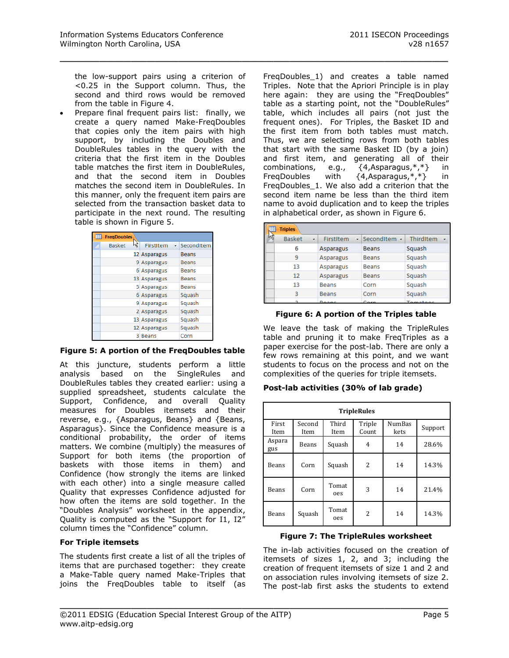the low-support pairs using a criterion of <0.25 in the Support column. Thus, the second and third rows would be removed from the table in Figure 4.

\_\_\_\_\_\_\_\_\_\_\_\_\_\_\_\_\_\_\_\_\_\_\_\_\_\_\_\_\_\_\_\_\_\_\_\_\_\_\_\_\_\_\_\_\_\_\_\_\_

 Prepare final frequent pairs list: finally, we create a query named Make-FreqDoubles that copies only the item pairs with high support, by including the Doubles and DoubleRules tables in the query with the criteria that the first item in the Doubles table matches the first item in DoubleRules, and that the second item in Doubles matches the second item in DoubleRules. In this manner, only the frequent item pairs are selected from the transaction basket data to participate in the next round. The resulting table is shown in Figure 5.

| <b>FregDoubles</b> |    |                  |              |
|--------------------|----|------------------|--------------|
| <b>Basket</b>      | hç | <b>FirstItem</b> | · SecondItem |
|                    |    | 12 Asparagus     | <b>Beans</b> |
|                    |    | 9 Asparagus      | <b>Beans</b> |
|                    |    | 6 Asparagus      | <b>Beans</b> |
|                    |    | 13 Asparagus     | <b>Beans</b> |
|                    |    | 5 Asparagus      | Beans        |
|                    |    | 6 Asparagus      | Squash       |
|                    |    | 9 Asparagus      | Squash       |
|                    |    | 2 Asparagus      | Squash       |
|                    |    | 13 Asparagus     | Squash       |
|                    |    | 12 Asparagus     | Squash       |
|                    |    | 3 Beans          | Corn         |

#### **Figure 5: A portion of the FreqDoubles table**

At this juncture, students perform a little analysis based on the SingleRules and DoubleRules tables they created earlier: using a supplied spreadsheet, students calculate the Support, Confidence, and overall Quality measures for Doubles itemsets and their reverse, e.g., {Asparagus, Beans} and {Beans, Asparagus}. Since the Confidence measure is a conditional probability, the order of items matters. We combine (multiply) the measures of Support for both items (the proportion of baskets with those items in them) and Confidence (how strongly the items are linked with each other) into a single measure called Quality that expresses Confidence adjusted for how often the items are sold together. In the "Doubles Analysis" worksheet in the appendix, Quality is computed as the "Support for I1, I2" column times the "Confidence" column.

#### **For Triple itemsets**

The students first create a list of all the triples of items that are purchased together: they create a Make-Table query named Make-Triples that joins the FreqDoubles table to itself (as FreqDoubles\_1) and creates a table named Triples. Note that the Apriori Principle is in play here again: they are using the "FreqDoubles" table as a starting point, not the "DoubleRules" table, which includes all pairs (not just the frequent ones). For Triples, the Basket ID and the first item from both tables must match. Thus, we are selecting rows from both tables that start with the same Basket ID (by a join) and first item, and generating all of their combinations, e.g., {4,Asparagus,\*,\*} in<br>FreqDoubles with {4,Asparagus,\*,\*} in FreqDoubles with {4,Asparagus,\*,\*} in FreqDoubles\_1. We also add a criterion that the second item name be less than the third item name to avoid duplication and to keep the triples in alphabetical order, as shown in Figure 6.

| <b>Triples</b> |         |              |                            |                                          |
|----------------|---------|--------------|----------------------------|------------------------------------------|
| <b>Basket</b>  | $\cdot$ | FirstItem    | $\cdot$ Seconditem $\cdot$ | ThirdItem<br>$\mathcal{L}_{\mathcal{P}}$ |
| 6              |         | Asparagus    | <b>Beans</b>               | Squash                                   |
|                |         | Asparagus    | <b>Beans</b>               | Squash                                   |
| 13             |         | Asparagus    | <b>Beans</b>               | Squash                                   |
| 12             |         | Asparagus    | <b>Beans</b>               | Squash                                   |
| 13             |         | <b>Beans</b> | Corn                       | Squash                                   |
| ٩              |         | <b>Beans</b> | Corn                       | Squash                                   |
|                |         |              |                            |                                          |

#### **Figure 6: A portion of the Triples table**

We leave the task of making the TripleRules table and pruning it to make FreqTriples as a paper exercise for the post-lab. There are only a few rows remaining at this point, and we want students to focus on the process and not on the complexities of the queries for triple itemsets.

#### **Post-lab activities (30% of lab grade)**

| <b>TripleRules</b> |                |               |                 |                       |         |  |  |  |
|--------------------|----------------|---------------|-----------------|-----------------------|---------|--|--|--|
| First<br>Item      | Second<br>Item | Third<br>Item | Triple<br>Count | <b>NumBas</b><br>kets | Support |  |  |  |
| Aspara<br>gus      | Beans          | Squash        | 4               | 14                    | 28.6%   |  |  |  |
| Beans              | Corn           | Squash        | 2               | 14                    | 14.3%   |  |  |  |
| Beans              | Corn           |               | 3               | 14                    | 21.4%   |  |  |  |
| Beans              | Squash         | Tomat<br>oes  | 2               | 14                    | 14.3%   |  |  |  |

#### **Figure 7: The TripleRules worksheet**

The in-lab activities focused on the creation of itemsets of sizes 1, 2, and 3; including the creation of frequent itemsets of size 1 and 2 and on association rules involving itemsets of size 2. The post-lab first asks the students to extend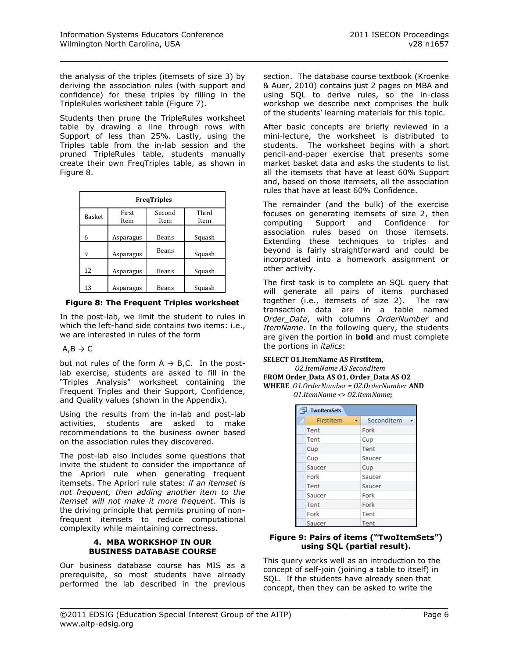the analysis of the triples (itemsets of size 3) by deriving the association rules (with support and confidence) for these triples by filling in the TripleRules worksheet table (Figure 7).

\_\_\_\_\_\_\_\_\_\_\_\_\_\_\_\_\_\_\_\_\_\_\_\_\_\_\_\_\_\_\_\_\_\_\_\_\_\_\_\_\_\_\_\_\_\_\_\_\_

Students then prune the TripleRules worksheet table by drawing a line through rows with Support of less than 25%. Lastly, using the Triples table from the in-lab session and the pruned TripleRules table, students manually create their own FreqTriples table, as shown in Figure 8.

| <b>FreqTriples</b> |               |                |               |  |  |  |  |  |
|--------------------|---------------|----------------|---------------|--|--|--|--|--|
| Basket             | First<br>Item | Second<br>Item | Third<br>Item |  |  |  |  |  |
| 6                  | Asparagus     | Beans          | Squash        |  |  |  |  |  |
| 9                  | Asparagus     | <b>Beans</b>   | Squash        |  |  |  |  |  |
| 12                 | Asparagus     | Beans          | Squash        |  |  |  |  |  |
| 13                 | Asparagus     | Beans          | Squash        |  |  |  |  |  |

**Figure 8: The Frequent Triples worksheet**

In the post-lab, we limit the student to rules in which the left-hand side contains two items: i.e., we are interested in rules of the form

# $A.B \rightarrow C$

but not rules of the form  $A \rightarrow B$ , C. In the postlab exercise, students are asked to fill in the "Triples Analysis" worksheet containing the Frequent Triples and their Support, Confidence, and Quality values (shown in the Appendix).

Using the results from the in-lab and post-lab activities, students are asked to make recommendations to the business owner based on the association rules they discovered.

The post-lab also includes some questions that invite the student to consider the importance of the Apriori rule when generating frequent itemsets. The Apriori rule states: *if an itemset is not frequent, then adding another item to the itemset will not make it more frequent*. This is the driving principle that permits pruning of nonfrequent itemsets to reduce computational complexity while maintaining correctness.

#### **4. MBA WORKSHOP IN OUR BUSINESS DATABASE COURSE**

Our business database course has MIS as a prerequisite, so most students have already performed the lab described in the previous section. The database course textbook (Kroenke & Auer, 2010) contains just 2 pages on MBA and using SQL to derive rules, so the in-class workshop we describe next comprises the bulk of the students' learning materials for this topic.

After basic concepts are briefly reviewed in a mini-lecture, the worksheet is distributed to students. The worksheet begins with a short pencil-and-paper exercise that presents some market basket data and asks the students to list all the itemsets that have at least 60% Support and, based on those itemsets, all the association rules that have at least 60% Confidence.

The remainder (and the bulk) of the exercise focuses on generating itemsets of size 2, then computing Support and Confidence for association rules based on those itemsets. Extending these techniques to triples and beyond is fairly straightforward and could be incorporated into a homework assignment or other activity.

The first task is to complete an SQL query that will generate all pairs of items purchased together (i.e., itemsets of size 2). The raw transaction data are in a table named *Order\_Data*, with columns *OrderNumber* and *ItemName*. In the following query, the students are given the portion in **bold** and must complete the portions in *italics*:

#### **SELECT O1.ItemName AS FirstItem,**

*O2.ItemName AS SecondItem*

**FROM Order\_Data AS O1, Order\_Data AS O2 WHERE** *O1.OrderNumber = O2.OrderNumber* **AND**  *O1.ItemName <> O2.ItemName***;**

| TwoItemSets    |            |  |  |  |  |  |  |  |  |
|----------------|------------|--|--|--|--|--|--|--|--|
| FirstItem<br>÷ | SecondItem |  |  |  |  |  |  |  |  |
| Tent           | Fork       |  |  |  |  |  |  |  |  |
| Tent           | Cup        |  |  |  |  |  |  |  |  |
| Cup            | Tent       |  |  |  |  |  |  |  |  |
| Cup            | Saucer     |  |  |  |  |  |  |  |  |
| Saucer         | Cup        |  |  |  |  |  |  |  |  |
| Fork           | Saucer     |  |  |  |  |  |  |  |  |
| Tent           | Saucer     |  |  |  |  |  |  |  |  |
| Saucer         | Fork       |  |  |  |  |  |  |  |  |
| Tent           | Fork       |  |  |  |  |  |  |  |  |
| Fork           | Tent       |  |  |  |  |  |  |  |  |
| Saucer         | Tent       |  |  |  |  |  |  |  |  |

#### **Figure 9: Pairs of items ("TwoItemSets") using SQL (partial result).**

This query works well as an introduction to the concept of self-join (joining a table to itself) in SQL. If the students have already seen that concept, then they can be asked to write the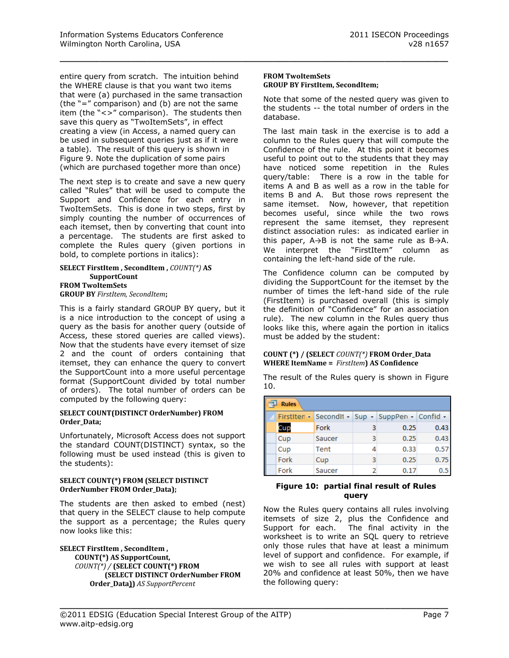entire query from scratch. The intuition behind the WHERE clause is that you want two items that were (a) purchased in the same transaction (the "=" comparison) and (b) are not the same item (the "<>" comparison). The students then save this query as "TwoItemSets", in effect creating a view (in Access, a named query can be used in subsequent queries just as if it were a table). The result of this query is shown in Figure 9. Note the duplication of some pairs (which are purchased together more than once)

The next step is to create and save a new query called "Rules" that will be used to compute the Support and Confidence for each entry in TwoItemSets. This is done in two steps, first by simply counting the number of occurrences of each itemset, then by converting that count into a percentage. The students are first asked to complete the Rules query (given portions in bold, to complete portions in italics):

#### **SELECT FirstItem , SecondItem ,** *COUNT(\*)* **AS SupportCount FROM TwoItemSets GROUP BY** *FirstItem, SecondItem***;**

This is a fairly standard GROUP BY query, but it is a nice introduction to the concept of using a query as the basis for another query (outside of Access, these stored queries are called views). Now that the students have every itemset of size 2 and the count of orders containing that itemset, they can enhance the query to convert the SupportCount into a more useful percentage format (SupportCount divided by total number of orders). The total number of orders can be computed by the following query:

#### **SELECT COUNT(DISTINCT OrderNumber) FROM Order\_Data;**

Unfortunately, Microsoft Access does not support the standard COUNT(DISTINCT) syntax, so the following must be used instead (this is given to the students):

#### **SELECT COUNT(\*) FROM (SELECT DISTINCT OrderNumber FROM Order\_Data);**

The students are then asked to embed (nest) that query in the SELECT clause to help compute the support as a percentage; the Rules query now looks like this:

**SELECT FirstItem , SecondItem , COUNT(\*) AS SupportCount,**  *COUNT(\*) /* **(SELECT COUNT(\*) FROM (SELECT DISTINCT OrderNumber FROM Order\_Data))** *AS SupportPercent*

#### **FROM TwoItemSets GROUP BY FirstItem, SecondItem;**

\_\_\_\_\_\_\_\_\_\_\_\_\_\_\_\_\_\_\_\_\_\_\_\_\_\_\_\_\_\_\_\_\_\_\_\_\_\_\_\_\_\_\_\_\_\_\_\_\_

Note that some of the nested query was given to the students -- the total number of orders in the database.

The last main task in the exercise is to add a column to the Rules query that will compute the Confidence of the rule. At this point it becomes useful to point out to the students that they may have noticed some repetition in the Rules query/table: There is a row in the table for items A and B as well as a row in the table for items B and A. But those rows represent the same itemset. Now, however, that repetition becomes useful, since while the two rows represent the same itemset, they represent distinct association rules: as indicated earlier in this paper, A→B is not the same rule as B→A. We interpret the "FirstItem" column as containing the left-hand side of the rule.

The Confidence column can be computed by dividing the SupportCount for the itemset by the number of times the left-hand side of the rule (FirstItem) is purchased overall (this is simply the definition of "Confidence" for an association rule). The new column in the Rules query thus looks like this, where again the portion in italics must be added by the student:

#### **COUNT (\*) / (SELECT** *COUNT(\*)* **FROM Order\_Data WHERE ItemName =** *FirstItem***) AS Confidence**

The result of the Rules query is shown in Figure 10.

| <b>Rules</b> |      |        |   |                                                 |      |  |  |  |
|--------------|------|--------|---|-------------------------------------------------|------|--|--|--|
|              |      |        |   | FirstIten - SecondIt - Sup - SuppPer - Confid - |      |  |  |  |
|              | Cup  | Fork   | 3 | 0.25                                            | 0.43 |  |  |  |
|              | Cup  | Saucer | з | 0.25                                            | 0.43 |  |  |  |
|              | Cup  | Tent   | 4 | 0.33                                            | 0.57 |  |  |  |
|              | Fork | Cup    | 3 | 0.25                                            | 0.75 |  |  |  |
|              | Fork | Saucer | 2 | 0.17                                            |      |  |  |  |

#### **Figure 10: partial final result of Rules query**

Now the Rules query contains all rules involving itemsets of size 2, plus the Confidence and Support for each. The final activity in the worksheet is to write an SQL query to retrieve only those rules that have at least a minimum level of support and confidence. For example, if we wish to see all rules with support at least 20% and confidence at least 50%, then we have the following query: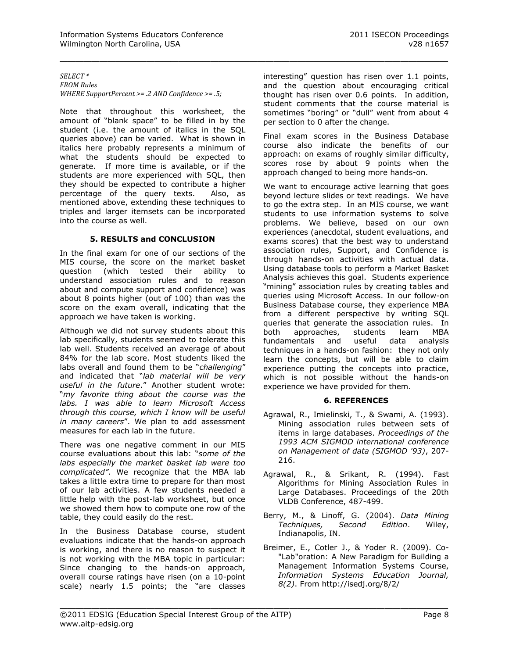#### *SELECT \* FROM Rules WHERE SupportPercent >= .2 AND Confidence >= .5;*

Note that throughout this worksheet, the amount of "blank space" to be filled in by the student (i.e. the amount of italics in the SQL queries above) can be varied. What is shown in italics here probably represents a minimum of what the students should be expected to generate. If more time is available, or if the students are more experienced with SQL, then they should be expected to contribute a higher percentage of the query texts. Also, as mentioned above, extending these techniques to triples and larger itemsets can be incorporated into the course as well.

#### **5. RESULTS and CONCLUSION**

In the final exam for one of our sections of the MIS course, the score on the market basket question (which tested their ability to understand association rules and to reason about and compute support and confidence) was about 8 points higher (out of 100) than was the score on the exam overall, indicating that the approach we have taken is working.

Although we did not survey students about this lab specifically, students seemed to tolerate this lab well. Students received an average of about 84% for the lab score. Most students liked the labs overall and found them to be "*challenging*" and indicated that "*lab material will be very useful in the future*." Another student wrote: "*my favorite thing about the course was the labs. I was able to learn Microsoft Access through this course, which I know will be useful in many careers*". We plan to add assessment measures for each lab in the future.

There was one negative comment in our MIS course evaluations about this lab: "*some of the labs especially the market basket lab were too complicated"*. We recognize that the MBA lab takes a little extra time to prepare for than most of our lab activities. A few students needed a little help with the post-lab worksheet, but once we showed them how to compute one row of the table, they could easily do the rest.

In the Business Database course, student evaluations indicate that the hands-on approach is working, and there is no reason to suspect it is not working with the MBA topic in particular: Since changing to the hands-on approach, overall course ratings have risen (on a 10-point scale) nearly 1.5 points; the "are classes

interesting" question has risen over 1.1 points, and the question about encouraging critical thought has risen over 0.6 points. In addition, student comments that the course material is sometimes "boring" or "dull" went from about 4 per section to 0 after the change.

\_\_\_\_\_\_\_\_\_\_\_\_\_\_\_\_\_\_\_\_\_\_\_\_\_\_\_\_\_\_\_\_\_\_\_\_\_\_\_\_\_\_\_\_\_\_\_\_\_

Final exam scores in the Business Database course also indicate the benefits of our approach: on exams of roughly similar difficulty, scores rose by about 9 points when the approach changed to being more hands-on.

We want to encourage active learning that goes beyond lecture slides or text readings. We have to go the extra step. In an MIS course, we want students to use information systems to solve problems. We believe, based on our own experiences (anecdotal, student evaluations, and exams scores) that the best way to understand association rules, Support, and Confidence is through hands-on activities with actual data. Using database tools to perform a Market Basket Analysis achieves this goal. Students experience "mining" association rules by creating tables and queries using Microsoft Access. In our follow-on Business Database course, they experience MBA from a different perspective by writing SQL queries that generate the association rules. In both approaches, students learn MBA fundamentals and useful data analysis techniques in a hands-on fashion: they not only learn the concepts, but will be able to claim experience putting the concepts into practice, which is not possible without the hands-on experience we have provided for them.

#### **6. REFERENCES**

- Agrawal, R., Imielinski, T., & Swami, A. (1993). Mining association rules between sets of items in large databases. *Proceedings of the 1993 ACM SIGMOD international conference on Management of data (SIGMOD '93)*, 207- 216.
- Agrawal, R., & Srikant, R. (1994). Fast Algorithms for Mining Association Rules in Large Databases. Proceedings of the 20th VLDB Conference, 487-499.
- Berry, M., & Linoff, G. (2004). *Data Mining Techniques, Second Edition*. Wiley, Indianapolis, IN.
- Breimer, E., Cotler J., & Yoder R. (2009). Co- "Lab"oration: A New Paradigm for Building a Management Information Systems Course, *Information Systems Education Journal, 8(2)*. From http://isedj.org/8/2/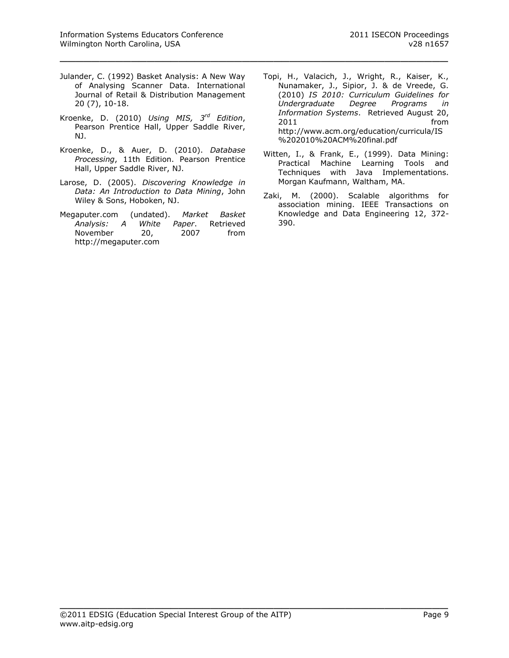Julander, C. (1992) Basket Analysis: A New Way of Analysing Scanner Data. International Journal of Retail & Distribution Management 20 (7), 10-18.

\_\_\_\_\_\_\_\_\_\_\_\_\_\_\_\_\_\_\_\_\_\_\_\_\_\_\_\_\_\_\_\_\_\_\_\_\_\_\_\_\_\_\_\_\_\_\_\_\_

- Kroenke, D. (2010) *Using MIS, 3rd Edition*, Pearson Prentice Hall, Upper Saddle River, NJ.
- Kroenke, D., & Auer, D. (2010). *Database Processing*, 11th Edition. Pearson Prentice Hall, Upper Saddle River, NJ.
- Larose, D. (2005). *Discovering Knowledge in Data: An Introduction to Data Mining*, John Wiley & Sons, Hoboken, NJ.
- Megaputer.com (undated). *Market Basket Analysis: A White Paper*. Retrieved November 20, 2007 from [http://megaputer.com](http://megaputer.com/)
- Topi, H., Valacich, J., Wright, R., Kaiser, K., Nunamaker, J., Sipior, J. & de Vreede, G. (2010) *IS 2010: Curriculum Guidelines for Undergraduate Degree Programs in Information Systems*. Retrieved August 20, 2011 **from** [http://www.acm.org/education/curricula/IS](http://www.acm.org/education/curricula/IS%202010%20ACM%20final.pdf) [%202010%20ACM%20final.pdf](http://www.acm.org/education/curricula/IS%202010%20ACM%20final.pdf)
- Witten, I., & Frank, E., (1999). Data Mining: Practical Machine Learning Tools and Techniques with Java Implementations. Morgan Kaufmann, Waltham, MA.
- Zaki, M. (2000). Scalable algorithms for association mining. IEEE Transactions on Knowledge and Data Engineering 12, 372- 390.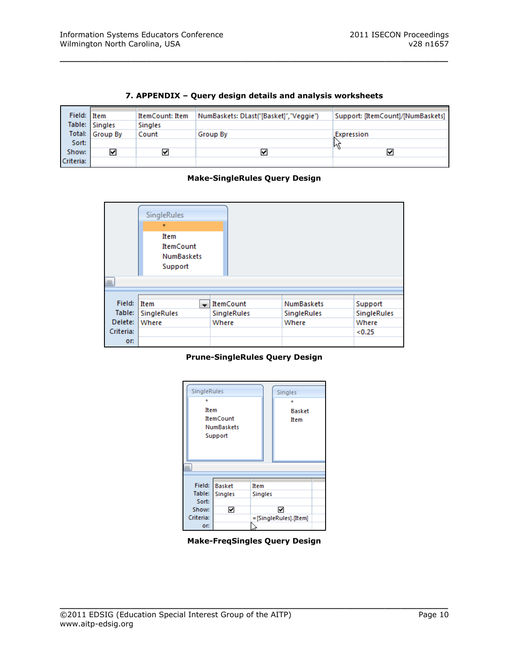| Field: Item |                 | ItemCount: Item | NumBaskets: DLast("[Basket]", "Veggie") | Support: [ItemCount]/[NumBaskets] |
|-------------|-----------------|-----------------|-----------------------------------------|-----------------------------------|
|             | Table: Singles  | <b>Singles</b>  |                                         |                                   |
|             | Total: Group By | Count           | Group By                                | <b>Expression</b>                 |
| Sort:       |                 |                 |                                         |                                   |
| Show:       | ⊻               | ⊻               | է                                       | է                                 |
| Criteria:   |                 |                 |                                         |                                   |

# **7. APPENDIX – Query design details and analysis worksheets**

\_\_\_\_\_\_\_\_\_\_\_\_\_\_\_\_\_\_\_\_\_\_\_\_\_\_\_\_\_\_\_\_\_\_\_\_\_\_\_\_\_\_\_\_\_\_\_\_\_

# **Make-SingleRules Query Design**



#### **Prune-SingleRules Query Design**



**Make-FreqSingles Query Design**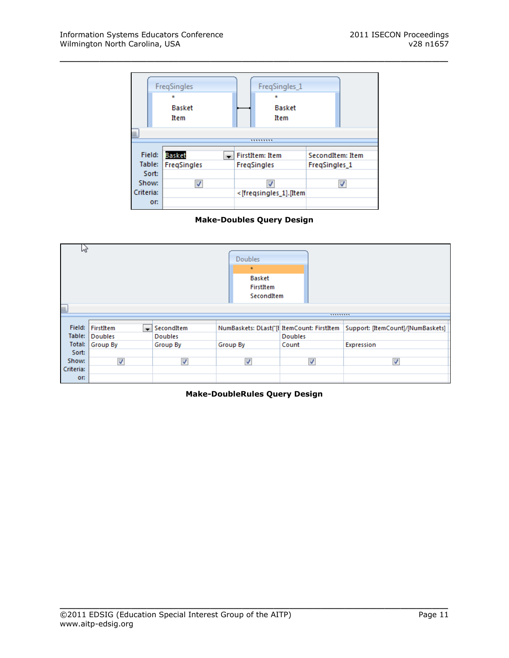

\_\_\_\_\_\_\_\_\_\_\_\_\_\_\_\_\_\_\_\_\_\_\_\_\_\_\_\_\_\_\_\_\_\_\_\_\_\_\_\_\_\_\_\_\_\_\_\_\_

# **Make-Doubles Query Design**



#### **Make-DoubleRules Query Design**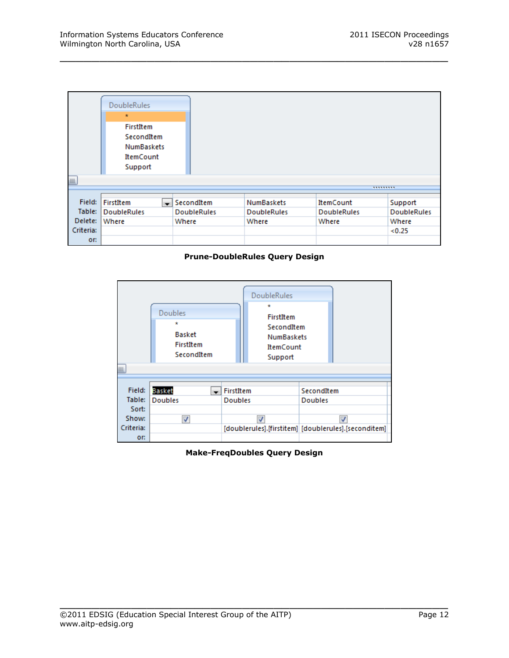| $\mathbf{III}$ | <b>DoubleRules</b><br>$\star$<br>FirstItem<br>SecondItem<br><b>NumBaskets</b><br><b>ItemCount</b><br>Support |  |                                     |                    |                    | ,,,,,,,,,          |
|----------------|--------------------------------------------------------------------------------------------------------------|--|-------------------------------------|--------------------|--------------------|--------------------|
|                |                                                                                                              |  |                                     |                    |                    |                    |
| Field:         | FirstItem                                                                                                    |  | $\overline{\phantom{a}}$ Seconditem | <b>NumBaskets</b>  | <b>ItemCount</b>   | Support            |
| Table:         | <b>DoubleRules</b>                                                                                           |  | <b>DoubleRules</b>                  | <b>DoubleRules</b> | <b>DoubleRules</b> | <b>DoubleRules</b> |
| Delete:        | Where                                                                                                        |  | Where                               | Where              | Where              | Where              |
| Criteria:      |                                                                                                              |  |                                     |                    |                    | < 0.25             |
| or:            |                                                                                                              |  |                                     |                    |                    |                    |

\_\_\_\_\_\_\_\_\_\_\_\_\_\_\_\_\_\_\_\_\_\_\_\_\_\_\_\_\_\_\_\_\_\_\_\_\_\_\_\_\_\_\_\_\_\_\_\_\_

#### **Prune-DoubleRules Query Design**



**Make-FreqDoubles Query Design**